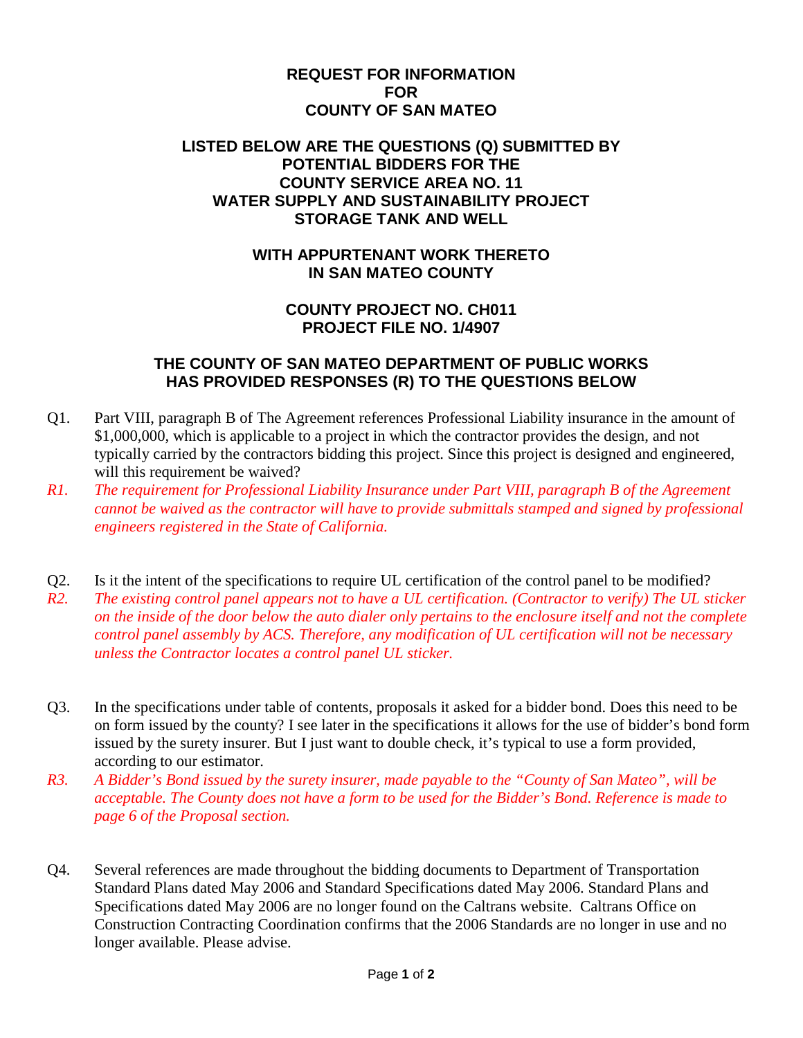### **REQUEST FOR INFORMATION FOR COUNTY OF SAN MATEO**

### **LISTED BELOW ARE THE QUESTIONS (Q) SUBMITTED BY POTENTIAL BIDDERS FOR THE COUNTY SERVICE AREA NO. 11 WATER SUPPLY AND SUSTAINABILITY PROJECT STORAGE TANK AND WELL**

# **WITH APPURTENANT WORK THERETO IN SAN MATEO COUNTY**

## **COUNTY PROJECT NO. CH011 PROJECT FILE NO. 1/4907**

### **THE COUNTY OF SAN MATEO DEPARTMENT OF PUBLIC WORKS HAS PROVIDED RESPONSES (R) TO THE QUESTIONS BELOW**

- Q1. Part VIII, paragraph B of The Agreement references Professional Liability insurance in the amount of \$1,000,000, which is applicable to a project in which the contractor provides the design, and not typically carried by the contractors bidding this project. Since this project is designed and engineered, will this requirement be waived?
- *R1. The requirement for Professional Liability Insurance under Part VIII, paragraph B of the Agreement cannot be waived as the contractor will have to provide submittals stamped and signed by professional engineers registered in the State of California.*
- Q2. Is it the intent of the specifications to require UL certification of the control panel to be modified? *R2. The existing control panel appears not to have a UL certification. (Contractor to verify) The UL sticker on the inside of the door below the auto dialer only pertains to the enclosure itself and not the complete control panel assembly by ACS. Therefore, any modification of UL certification will not be necessary unless the Contractor locates a control panel UL sticker.*
- Q3. In the specifications under table of contents, proposals it asked for a bidder bond. Does this need to be on form issued by the county? I see later in the specifications it allows for the use of bidder's bond form issued by the surety insurer. But I just want to double check, it's typical to use a form provided, according to our estimator.
- *R3. A Bidder's Bond issued by the surety insurer, made payable to the "County of San Mateo", will be acceptable. The County does not have a form to be used for the Bidder's Bond. Reference is made to page 6 of the Proposal section.*
- Q4. Several references are made throughout the bidding documents to Department of Transportation Standard Plans dated May 2006 and Standard Specifications dated May 2006. Standard Plans and Specifications dated May 2006 are no longer found on the Caltrans website. Caltrans Office on Construction Contracting Coordination confirms that the 2006 Standards are no longer in use and no longer available. Please advise.